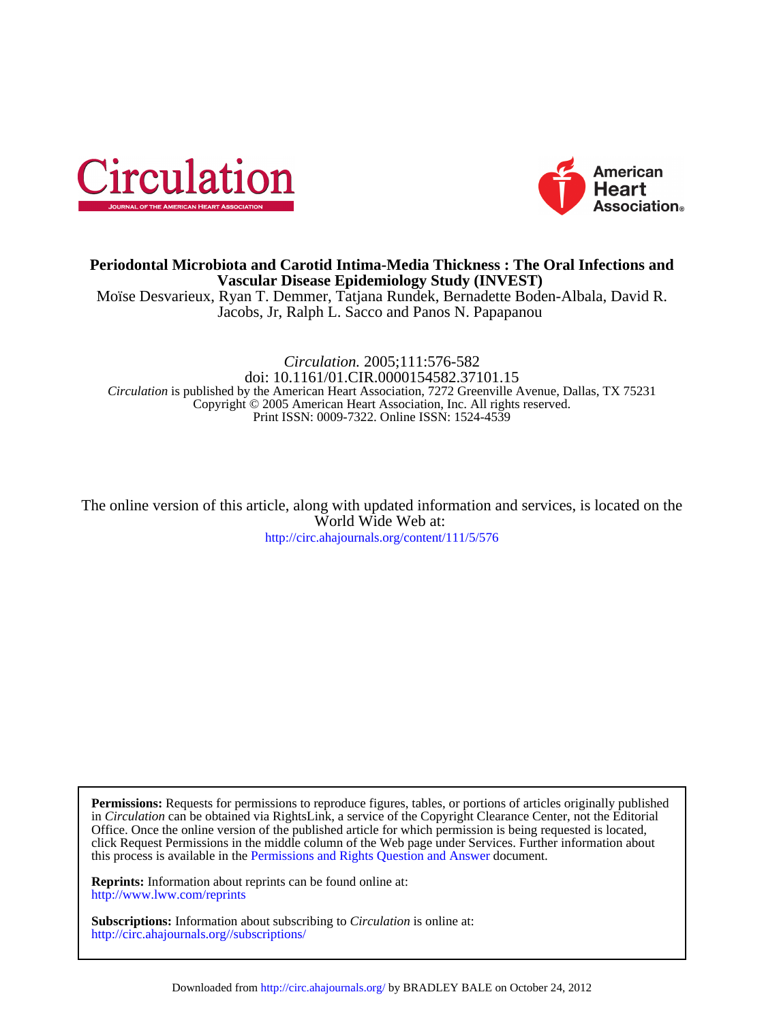



# **Vascular Disease Epidemiology Study (INVEST) Periodontal Microbiota and Carotid Intima-Media Thickness : The Oral Infections and**

Jacobs, Jr, Ralph L. Sacco and Panos N. Papapanou Moïse Desvarieux, Ryan T. Demmer, Tatjana Rundek, Bernadette Boden-Albala, David R.

Print ISSN: 0009-7322. Online ISSN: 1524-4539 Copyright © 2005 American Heart Association, Inc. All rights reserved. *Circulation* is published by the American Heart Association, 7272 Greenville Avenue, Dallas, TX 75231 doi: 10.1161/01.CIR.0000154582.37101.15 *Circulation.* 2005;111:576-582

<http://circ.ahajournals.org/content/111/5/576> World Wide Web at: The online version of this article, along with updated information and services, is located on the

this process is available in the [Permissions and Rights Question and Answer d](http://www.ahajournals.org/site/rights/)ocument. click Request Permissions in the middle column of the Web page under Services. Further information about Office. Once the online version of the published article for which permission is being requested is located, in *Circulation* can be obtained via RightsLink, a service of the Copyright Clearance Center, not the Editorial **Permissions:** Requests for permissions to reproduce figures, tables, or portions of articles originally published

<http://www.lww.com/reprints> **Reprints:** Information about reprints can be found online at:

<http://circ.ahajournals.org//subscriptions/> **Subscriptions:** Information about subscribing to *Circulation* is online at: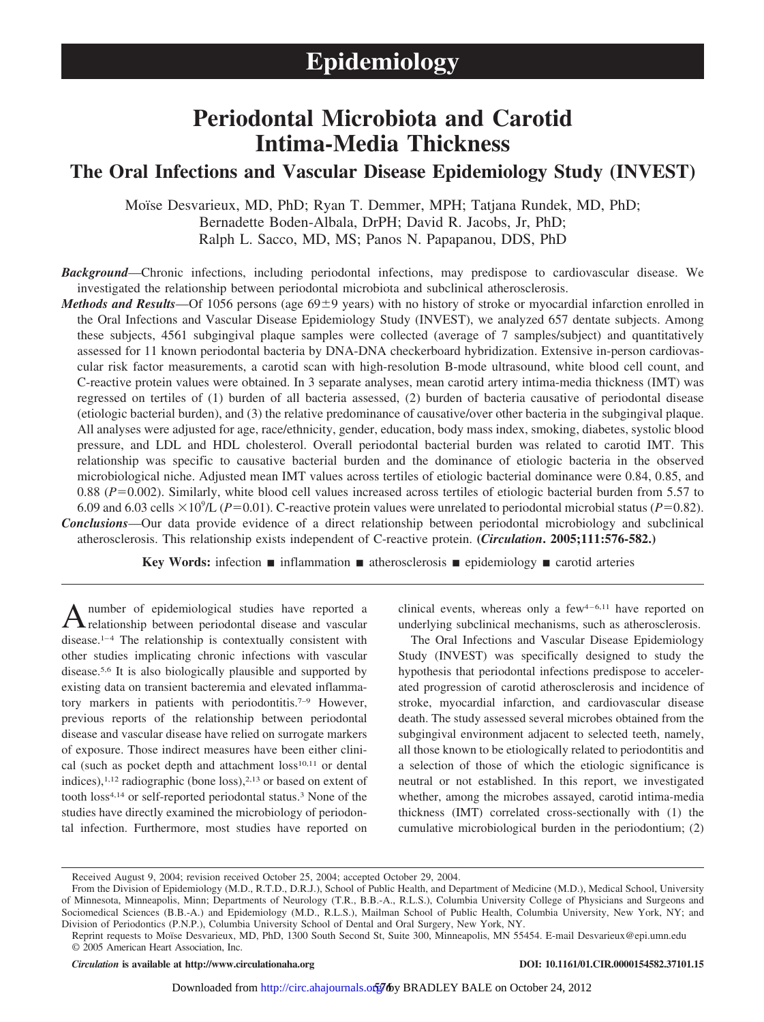# **Periodontal Microbiota and Carotid Intima-Media Thickness**

# **The Oral Infections and Vascular Disease Epidemiology Study (INVEST)**

Moïse Desvarieux, MD, PhD; Ryan T. Demmer, MPH; Tatjana Rundek, MD, PhD; Bernadette Boden-Albala, DrPH; David R. Jacobs, Jr, PhD; Ralph L. Sacco, MD, MS; Panos N. Papapanou, DDS, PhD

*Background*—Chronic infections, including periodontal infections, may predispose to cardiovascular disease. We investigated the relationship between periodontal microbiota and subclinical atherosclerosis.

*Methods and Results*—Of 1056 persons (age  $69\pm9$  years) with no history of stroke or myocardial infarction enrolled in the Oral Infections and Vascular Disease Epidemiology Study (INVEST), we analyzed 657 dentate subjects. Among these subjects, 4561 subgingival plaque samples were collected (average of 7 samples/subject) and quantitatively assessed for 11 known periodontal bacteria by DNA-DNA checkerboard hybridization. Extensive in-person cardiovascular risk factor measurements, a carotid scan with high-resolution B-mode ultrasound, white blood cell count, and C-reactive protein values were obtained. In 3 separate analyses, mean carotid artery intima-media thickness (IMT) was regressed on tertiles of (1) burden of all bacteria assessed, (2) burden of bacteria causative of periodontal disease (etiologic bacterial burden), and (3) the relative predominance of causative/over other bacteria in the subgingival plaque. All analyses were adjusted for age, race/ethnicity, gender, education, body mass index, smoking, diabetes, systolic blood pressure, and LDL and HDL cholesterol. Overall periodontal bacterial burden was related to carotid IMT. This relationship was specific to causative bacterial burden and the dominance of etiologic bacteria in the observed microbiological niche. Adjusted mean IMT values across tertiles of etiologic bacterial dominance were 0.84, 0.85, and 0.88 (P=0.002). Similarly, white blood cell values increased across tertiles of etiologic bacterial burden from 5.57 to 6.09 and 6.03 cells  $\times 10^9$ /L (*P*=0.01). C-reactive protein values were unrelated to periodontal microbial status (*P*=0.82). *Conclusions*—Our data provide evidence of a direct relationship between periodontal microbiology and subclinical atherosclerosis. This relationship exists independent of C-reactive protein. **(***Circulation***. 2005;111:576-582.)**

**Key Words:** infection  $\blacksquare$  inflammation  $\blacksquare$  atherosclerosis  $\blacksquare$  epidemiology  $\blacksquare$  carotid arteries

A number of epidemiological studies have reported a<br>relationship between periodontal disease and vascular disease. $1-4$  The relationship is contextually consistent with other studies implicating chronic infections with vascular disease.5,6 It is also biologically plausible and supported by existing data on transient bacteremia and elevated inflammatory markers in patients with periodontitis.<sup>7-9</sup> However, previous reports of the relationship between periodontal disease and vascular disease have relied on surrogate markers of exposure. Those indirect measures have been either clinical (such as pocket depth and attachment loss<sup>10,11</sup> or dental indices),<sup>1,12</sup> radiographic (bone loss),<sup>2,13</sup> or based on extent of tooth loss4,14 or self-reported periodontal status.3 None of the studies have directly examined the microbiology of periodontal infection. Furthermore, most studies have reported on

clinical events, whereas only a few $4-6.11$  have reported on underlying subclinical mechanisms, such as atherosclerosis.

The Oral Infections and Vascular Disease Epidemiology Study (INVEST) was specifically designed to study the hypothesis that periodontal infections predispose to accelerated progression of carotid atherosclerosis and incidence of stroke, myocardial infarction, and cardiovascular disease death. The study assessed several microbes obtained from the subgingival environment adjacent to selected teeth, namely, all those known to be etiologically related to periodontitis and a selection of those of which the etiologic significance is neutral or not established. In this report, we investigated whether, among the microbes assayed, carotid intima-media thickness (IMT) correlated cross-sectionally with (1) the cumulative microbiological burden in the periodontium; (2)

*Circulation* is available at http://www.circulationaha.org DOI: 10.1161/01.CIR.0000154582.37101.15

Received August 9, 2004; revision received October 25, 2004; accepted October 29, 2004.

From the Division of Epidemiology (M.D., R.T.D., D.R.J.), School of Public Health, and Department of Medicine (M.D.), Medical School, University of Minnesota, Minneapolis, Minn; Departments of Neurology (T.R., B.B.-A., R.L.S.), Columbia University College of Physicians and Surgeons and Sociomedical Sciences (B.B.-A.) and Epidemiology (M.D., R.L.S.), Mailman School of Public Health, Columbia University, New York, NY; and Division of Periodontics (P.N.P.), Columbia University School of Dental and Oral Surgery, New York, NY.

Reprint requests to Moïse Desvarieux, MD, PhD, 1300 South Second St, Suite 300, Minneapolis, MN 55454. E-mail Desvarieux@epi.umn.edu © 2005 American Heart Association, Inc.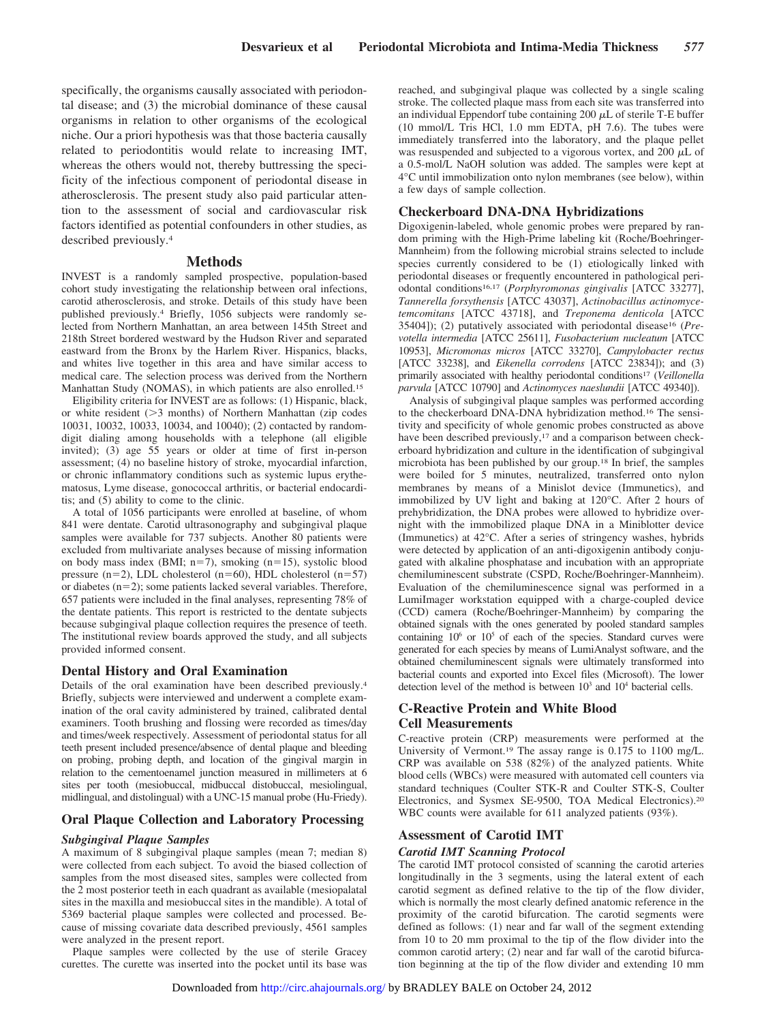specifically, the organisms causally associated with periodontal disease; and (3) the microbial dominance of these causal organisms in relation to other organisms of the ecological niche. Our a priori hypothesis was that those bacteria causally related to periodontitis would relate to increasing IMT, whereas the others would not, thereby buttressing the specificity of the infectious component of periodontal disease in atherosclerosis. The present study also paid particular attention to the assessment of social and cardiovascular risk factors identified as potential confounders in other studies, as described previously.4

#### **Methods**

INVEST is a randomly sampled prospective, population-based cohort study investigating the relationship between oral infections, carotid atherosclerosis, and stroke. Details of this study have been published previously.4 Briefly, 1056 subjects were randomly selected from Northern Manhattan, an area between 145th Street and 218th Street bordered westward by the Hudson River and separated eastward from the Bronx by the Harlem River. Hispanics, blacks, and whites live together in this area and have similar access to medical care. The selection process was derived from the Northern Manhattan Study (NOMAS), in which patients are also enrolled.15

Eligibility criteria for INVEST are as follows: (1) Hispanic, black, or white resident  $(>3$  months) of Northern Manhattan (zip codes 10031, 10032, 10033, 10034, and 10040); (2) contacted by randomdigit dialing among households with a telephone (all eligible invited); (3) age 55 years or older at time of first in-person assessment; (4) no baseline history of stroke, myocardial infarction, or chronic inflammatory conditions such as systemic lupus erythematosus, Lyme disease, gonococcal arthritis, or bacterial endocarditis; and (5) ability to come to the clinic.

A total of 1056 participants were enrolled at baseline, of whom 841 were dentate. Carotid ultrasonography and subgingival plaque samples were available for 737 subjects. Another 80 patients were excluded from multivariate analyses because of missing information on body mass index (BMI;  $n=7$ ), smoking ( $n=15$ ), systolic blood pressure  $(n=2)$ , LDL cholesterol  $(n=60)$ , HDL cholesterol  $(n=57)$ or diabetes (n-2); some patients lacked several variables. Therefore, 657 patients were included in the final analyses, representing 78% of the dentate patients. This report is restricted to the dentate subjects because subgingival plaque collection requires the presence of teeth. The institutional review boards approved the study, and all subjects provided informed consent.

#### **Dental History and Oral Examination**

Details of the oral examination have been described previously.4 Briefly, subjects were interviewed and underwent a complete examination of the oral cavity administered by trained, calibrated dental examiners. Tooth brushing and flossing were recorded as times/day and times/week respectively. Assessment of periodontal status for all teeth present included presence/absence of dental plaque and bleeding on probing, probing depth, and location of the gingival margin in relation to the cementoenamel junction measured in millimeters at 6 sites per tooth (mesiobuccal, midbuccal distobuccal, mesiolingual, midlingual, and distolingual) with a UNC-15 manual probe (Hu-Friedy).

#### **Oral Plaque Collection and Laboratory Processing**

#### *Subgingival Plaque Samples*

A maximum of 8 subgingival plaque samples (mean 7; median 8) were collected from each subject. To avoid the biased collection of samples from the most diseased sites, samples were collected from the 2 most posterior teeth in each quadrant as available (mesiopalatal sites in the maxilla and mesiobuccal sites in the mandible). A total of 5369 bacterial plaque samples were collected and processed. Because of missing covariate data described previously, 4561 samples were analyzed in the present report.

Plaque samples were collected by the use of sterile Gracey curettes. The curette was inserted into the pocket until its base was reached, and subgingival plaque was collected by a single scaling stroke. The collected plaque mass from each site was transferred into an individual Eppendorf tube containing  $200 \mu L$  of sterile T-E buffer (10 mmol/L Tris HCl, 1.0 mm EDTA, pH 7.6). The tubes were immediately transferred into the laboratory, and the plaque pellet was resuspended and subjected to a vigorous vortex, and 200  $\mu$ L of a 0.5-mol/L NaOH solution was added. The samples were kept at 4°C until immobilization onto nylon membranes (see below), within a few days of sample collection.

#### **Checkerboard DNA-DNA Hybridizations**

Digoxigenin-labeled, whole genomic probes were prepared by random priming with the High-Prime labeling kit (Roche/Boehringer-Mannheim) from the following microbial strains selected to include species currently considered to be (1) etiologically linked with periodontal diseases or frequently encountered in pathological periodontal conditions16,17 (*Porphyromonas gingivalis* [ATCC 33277], *Tannerella forsythensis* [ATCC 43037], *Actinobacillus actinomycetemcomitans* [ATCC 43718], and *Treponema denticola* [ATCC 35404]); (2) putatively associated with periodontal disease16 (*Prevotella intermedia* [ATCC 25611], *Fusobacterium nucleatum* [ATCC 10953], *Micromonas micros* [ATCC 33270], *Campylobacter rectus* [ATCC 33238], and *Eikenella corrodens* [ATCC 23834]); and (3) primarily associated with healthy periodontal conditions17 (*Veillonella parvula* [ATCC 10790] and *Actinomyces naeslundii* [ATCC 49340]).

Analysis of subgingival plaque samples was performed according to the checkerboard DNA-DNA hybridization method.16 The sensitivity and specificity of whole genomic probes constructed as above have been described previously,<sup>17</sup> and a comparison between checkerboard hybridization and culture in the identification of subgingival microbiota has been published by our group.18 In brief, the samples were boiled for 5 minutes, neutralized, transferred onto nylon membranes by means of a Minislot device (Immunetics), and immobilized by UV light and baking at 120°C. After 2 hours of prehybridization, the DNA probes were allowed to hybridize overnight with the immobilized plaque DNA in a Miniblotter device (Immunetics) at 42°C. After a series of stringency washes, hybrids were detected by application of an anti-digoxigenin antibody conjugated with alkaline phosphatase and incubation with an appropriate chemiluminescent substrate (CSPD, Roche/Boehringer-Mannheim). Evaluation of the chemiluminescence signal was performed in a LumiImager workstation equipped with a charge-coupled device (CCD) camera (Roche/Boehringer-Mannheim) by comparing the obtained signals with the ones generated by pooled standard samples containing  $10^6$  or  $10^5$  of each of the species. Standard curves were generated for each species by means of LumiAnalyst software, and the obtained chemiluminescent signals were ultimately transformed into bacterial counts and exported into Excel files (Microsoft). The lower detection level of the method is between  $10<sup>3</sup>$  and  $10<sup>4</sup>$  bacterial cells.

# **C-Reactive Protein and White Blood Cell Measurements**

C-reactive protein (CRP) measurements were performed at the University of Vermont.19 The assay range is 0.175 to 1100 mg/L. CRP was available on 538 (82%) of the analyzed patients. White blood cells (WBCs) were measured with automated cell counters via standard techniques (Coulter STK-R and Coulter STK-S, Coulter Electronics, and Sysmex SE-9500, TOA Medical Electronics).20 WBC counts were available for 611 analyzed patients (93%).

#### **Assessment of Carotid IMT**

#### *Carotid IMT Scanning Protocol*

The carotid IMT protocol consisted of scanning the carotid arteries longitudinally in the 3 segments, using the lateral extent of each carotid segment as defined relative to the tip of the flow divider, which is normally the most clearly defined anatomic reference in the proximity of the carotid bifurcation. The carotid segments were defined as follows: (1) near and far wall of the segment extending from 10 to 20 mm proximal to the tip of the flow divider into the common carotid artery; (2) near and far wall of the carotid bifurcation beginning at the tip of the flow divider and extending 10 mm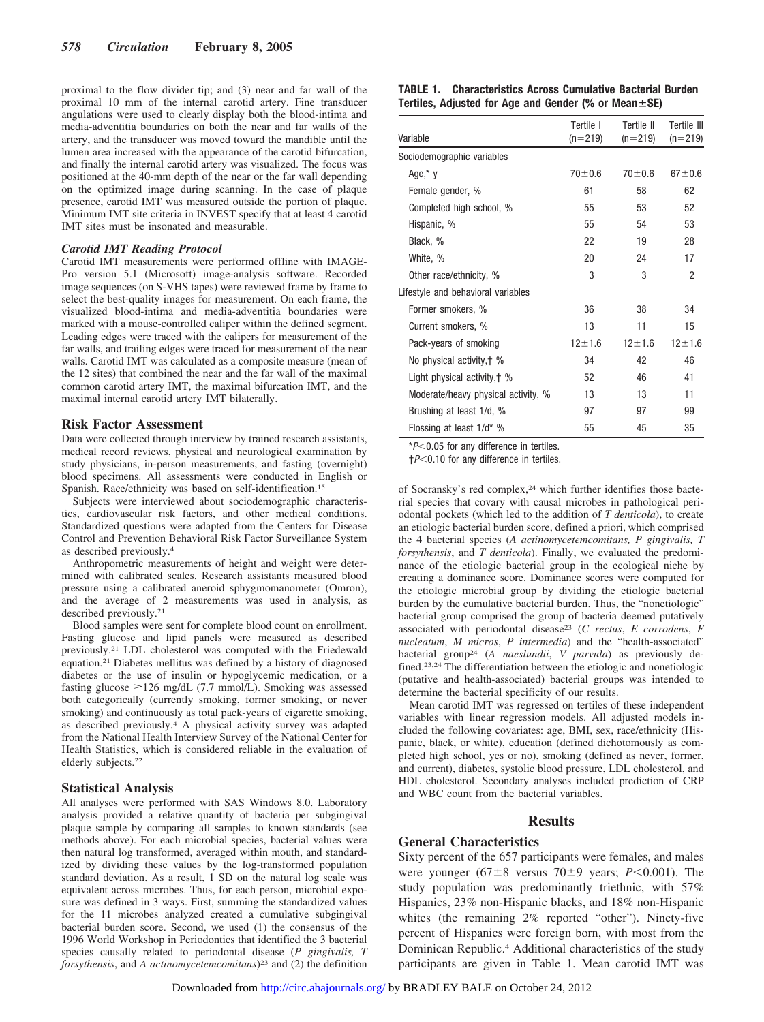proximal to the flow divider tip; and (3) near and far wall of the proximal 10 mm of the internal carotid artery. Fine transducer angulations were used to clearly display both the blood-intima and media-adventitia boundaries on both the near and far walls of the artery, and the transducer was moved toward the mandible until the lumen area increased with the appearance of the carotid bifurcation, and finally the internal carotid artery was visualized. The focus was positioned at the 40-mm depth of the near or the far wall depending on the optimized image during scanning. In the case of plaque presence, carotid IMT was measured outside the portion of plaque. Minimum IMT site criteria in INVEST specify that at least 4 carotid IMT sites must be insonated and measurable.

#### *Carotid IMT Reading Protocol*

Carotid IMT measurements were performed offline with IMAGE-Pro version 5.1 (Microsoft) image-analysis software. Recorded image sequences (on S-VHS tapes) were reviewed frame by frame to select the best-quality images for measurement. On each frame, the visualized blood-intima and media-adventitia boundaries were marked with a mouse-controlled caliper within the defined segment. Leading edges were traced with the calipers for measurement of the far walls, and trailing edges were traced for measurement of the near walls. Carotid IMT was calculated as a composite measure (mean of the 12 sites) that combined the near and the far wall of the maximal common carotid artery IMT, the maximal bifurcation IMT, and the maximal internal carotid artery IMT bilaterally.

#### **Risk Factor Assessment**

Data were collected through interview by trained research assistants, medical record reviews, physical and neurological examination by study physicians, in-person measurements, and fasting (overnight) blood specimens. All assessments were conducted in English or Spanish. Race/ethnicity was based on self-identification.15

Subjects were interviewed about sociodemographic characteristics, cardiovascular risk factors, and other medical conditions. Standardized questions were adapted from the Centers for Disease Control and Prevention Behavioral Risk Factor Surveillance System as described previously.4

Anthropometric measurements of height and weight were determined with calibrated scales. Research assistants measured blood pressure using a calibrated aneroid sphygmomanometer (Omron), and the average of 2 measurements was used in analysis, as described previously.21

Blood samples were sent for complete blood count on enrollment. Fasting glucose and lipid panels were measured as described previously.21 LDL cholesterol was computed with the Friedewald equation.21 Diabetes mellitus was defined by a history of diagnosed diabetes or the use of insulin or hypoglycemic medication, or a fasting glucose  $\geq$ 126 mg/dL (7.7 mmol/L). Smoking was assessed both categorically (currently smoking, former smoking, or never smoking) and continuously as total pack-years of cigarette smoking, as described previously.4 A physical activity survey was adapted from the National Health Interview Survey of the National Center for Health Statistics, which is considered reliable in the evaluation of elderly subjects.22

#### **Statistical Analysis**

All analyses were performed with SAS Windows 8.0. Laboratory analysis provided a relative quantity of bacteria per subgingival plaque sample by comparing all samples to known standards (see methods above). For each microbial species, bacterial values were then natural log transformed, averaged within mouth, and standardized by dividing these values by the log-transformed population standard deviation. As a result, 1 SD on the natural log scale was equivalent across microbes. Thus, for each person, microbial exposure was defined in 3 ways. First, summing the standardized values for the 11 microbes analyzed created a cumulative subgingival bacterial burden score. Second, we used (1) the consensus of the 1996 World Workshop in Periodontics that identified the 3 bacterial species causally related to periodontal disease (*P gingivalis, T forsythensis*, and *A actinomycetemcomitans*)23 and (2) the definition

| <b>TABLE 1. Characteristics Across Cumulative Bacterial Burden</b> |  |
|--------------------------------------------------------------------|--|
| Tertiles, Adjusted for Age and Gender (% or Mean $\pm$ SE)         |  |

| Variable                            | Tertile I<br>$(n=219)$ | Tertile II<br>$(n=219)$ | Tertile III<br>$(n=219)$ |
|-------------------------------------|------------------------|-------------------------|--------------------------|
| Sociodemographic variables          |                        |                         |                          |
| Age,* y                             | $70 + 0.6$             | $70 + 0.6$              | $67 + 0.6$               |
| Female gender, %                    | 61                     | 58                      | 62                       |
| Completed high school, %            | 55                     | 53                      | 52                       |
| Hispanic, %                         | 55                     | 54                      | 53                       |
| Black, %                            | 22                     | 19                      | 28                       |
| White, %                            | 20                     | 24                      | 17                       |
| Other race/ethnicity, %             | 3                      | 3                       | 2                        |
| Lifestyle and behavioral variables  |                        |                         |                          |
| Former smokers, %                   | 36                     | 38                      | 34                       |
| Current smokers, %                  | 13                     | 11                      | 15                       |
| Pack-years of smoking               | $12 + 1.6$             | $12 + 1.6$              | $12 + 1.6$               |
| No physical activity, † %           | 34                     | 42                      | 46                       |
| Light physical activity, † %        | 52                     | 46                      | 41                       |
| Moderate/heavy physical activity, % | 13                     | 13                      | 11                       |
| Brushing at least 1/d, %            | 97                     | 97                      | 99                       |
| Flossing at least 1/d* %            | 55                     | 45                      | 35                       |

\* $P$ <0.05 for any difference in tertiles.

†*P*0.10 for any difference in tertiles.

of Socransky's red complex,24 which further identifies those bacterial species that covary with causal microbes in pathological periodontal pockets (which led to the addition of *T denticola*), to create an etiologic bacterial burden score, defined a priori, which comprised the 4 bacterial species (*A actinomycetemcomitans, P gingivalis, T forsythensis*, and *T denticola*). Finally, we evaluated the predominance of the etiologic bacterial group in the ecological niche by creating a dominance score. Dominance scores were computed for the etiologic microbial group by dividing the etiologic bacterial burden by the cumulative bacterial burden. Thus, the "nonetiologic" bacterial group comprised the group of bacteria deemed putatively associated with periodontal disease23 (*C rectus*, *E corrodens*, *F nucleatum*, *M micros*, *P intermedia*) and the "health-associated" bacterial group24 (*A naeslundii*, *V parvula*) as previously defined.23,24 The differentiation between the etiologic and nonetiologic (putative and health-associated) bacterial groups was intended to determine the bacterial specificity of our results.

Mean carotid IMT was regressed on tertiles of these independent variables with linear regression models. All adjusted models included the following covariates: age, BMI, sex, race/ethnicity (Hispanic, black, or white), education (defined dichotomously as completed high school, yes or no), smoking (defined as never, former, and current), diabetes, systolic blood pressure, LDL cholesterol, and HDL cholesterol. Secondary analyses included prediction of CRP and WBC count from the bacterial variables.

### **Results**

# **General Characteristics**

Sixty percent of the 657 participants were females, and males were younger  $(67\pm8$  versus  $70\pm9$  years;  $P<0.001$ ). The study population was predominantly triethnic, with 57% Hispanics, 23% non-Hispanic blacks, and 18% non-Hispanic whites (the remaining 2% reported "other"). Ninety-five percent of Hispanics were foreign born, with most from the Dominican Republic.4 Additional characteristics of the study participants are given in Table 1. Mean carotid IMT was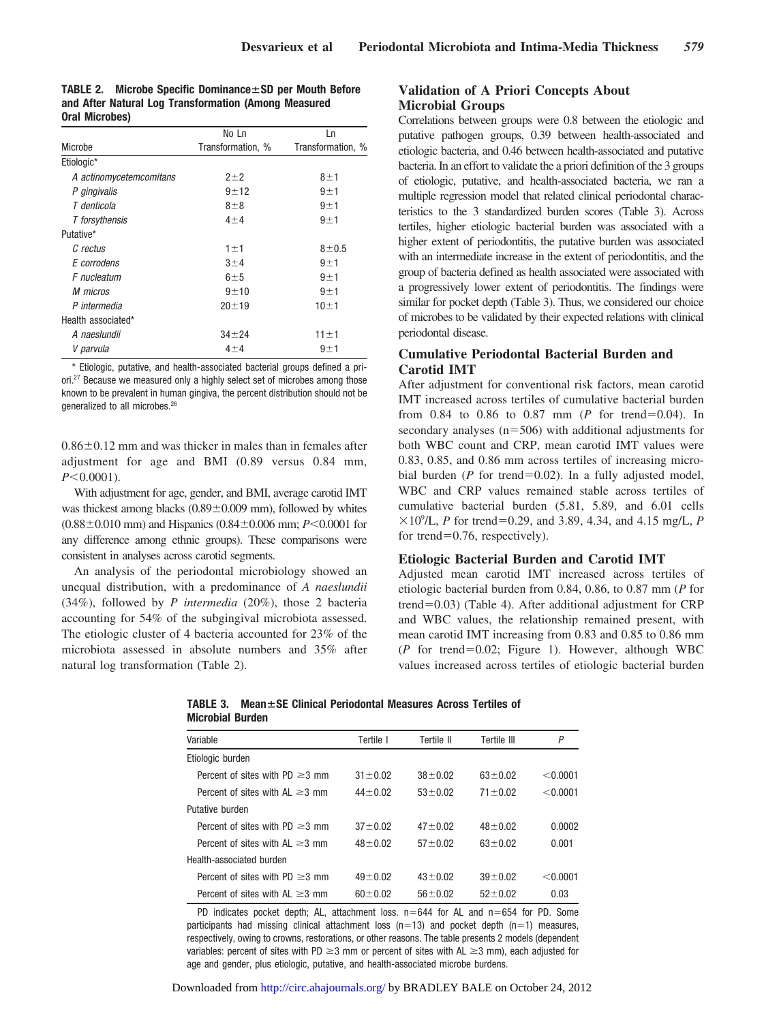**TABLE 2. Microbe Specific DominanceSD per Mouth Before and After Natural Log Transformation (Among Measured Oral Microbes)**

|                         | No Ln             | Ln                |  |
|-------------------------|-------------------|-------------------|--|
| Microbe                 | Transformation, % | Transformation, % |  |
| Etiologic*              |                   |                   |  |
| A actinomycetemcomitans | $2 + 2$           | $8 + 1$           |  |
| P gingivalis            | $9 + 12$          | $9+1$             |  |
| T denticola             | $8 + 8$           | $9+1$             |  |
| T forsythensis          | $4\pm4$           | $9+1$             |  |
| Putative*               |                   |                   |  |
| C rectus                | $1 \pm 1$         | $8 + 0.5$         |  |
| E corrodens             | $3 + 4$           | $9+1$             |  |
| F nucleatum             | $6 \pm 5$         | 9±1               |  |
| M micros                | $9 + 10$          | $9+1$             |  |
| P intermedia            | $20 + 19$         | $10+1$            |  |
| Health associated*      |                   |                   |  |
| A naeslundii            | $34 + 24$         | $11 \pm 1$        |  |
| V parvula               | $4\pm4$           | 9±1               |  |

\* Etiologic, putative, and health-associated bacterial groups defined a priori.<sup>27</sup> Because we measured only a highly select set of microbes among those known to be prevalent in human gingiva, the percent distribution should not be generalized to all microbes.26

 $0.86\pm0.12$  mm and was thicker in males than in females after adjustment for age and BMI (0.89 versus 0.84 mm, *P*<0.0001).

With adjustment for age, gender, and BMI, average carotid IMT was thickest among blacks  $(0.89 \pm 0.009 \text{ mm})$ , followed by whites  $(0.88\pm0.010$  mm) and Hispanics  $(0.84\pm0.006$  mm;  $P<0.0001$  for any difference among ethnic groups). These comparisons were consistent in analyses across carotid segments.

An analysis of the periodontal microbiology showed an unequal distribution, with a predominance of *A naeslundii* (34%), followed by *P intermedia* (20%), those 2 bacteria accounting for 54% of the subgingival microbiota assessed. The etiologic cluster of 4 bacteria accounted for 23% of the microbiota assessed in absolute numbers and 35% after natural log transformation (Table 2).

# **Validation of A Priori Concepts About Microbial Groups**

Correlations between groups were 0.8 between the etiologic and putative pathogen groups, 0.39 between health-associated and etiologic bacteria, and 0.46 between health-associated and putative bacteria. In an effort to validate the a priori definition of the 3 groups of etiologic, putative, and health-associated bacteria, we ran a multiple regression model that related clinical periodontal characteristics to the 3 standardized burden scores (Table 3). Across tertiles, higher etiologic bacterial burden was associated with a higher extent of periodontitis, the putative burden was associated with an intermediate increase in the extent of periodontitis, and the group of bacteria defined as health associated were associated with a progressively lower extent of periodontitis. The findings were similar for pocket depth (Table 3). Thus, we considered our choice of microbes to be validated by their expected relations with clinical periodontal disease.

# **Cumulative Periodontal Bacterial Burden and Carotid IMT**

After adjustment for conventional risk factors, mean carotid IMT increased across tertiles of cumulative bacterial burden from  $0.84$  to  $0.86$  to  $0.87$  mm (*P* for trend=0.04). In secondary analyses  $(n=506)$  with additional adjustments for both WBC count and CRP, mean carotid IMT values were 0.83, 0.85, and 0.86 mm across tertiles of increasing microbial burden  $(P$  for trend=0.02). In a fully adjusted model, WBC and CRP values remained stable across tertiles of cumulative bacterial burden (5.81, 5.89, and 6.01 cells  $\times 10^{9}$ /L, *P* for trend=0.29, and 3.89, 4.34, and 4.15 mg/L, *P* for trend=0.76, respectively).

# **Etiologic Bacterial Burden and Carotid IMT**

Adjusted mean carotid IMT increased across tertiles of etiologic bacterial burden from 0.84, 0.86, to 0.87 mm (*P* for trend=0.03) (Table 4). After additional adjustment for CRP and WBC values, the relationship remained present, with mean carotid IMT increasing from 0.83 and 0.85 to 0.86 mm (*P* for trend=0.02; Figure 1). However, although WBC values increased across tertiles of etiologic bacterial burden

| Variable                             | Tertile I   | Tertile II    | Tertile III   | Р        |
|--------------------------------------|-------------|---------------|---------------|----------|
| Etiologic burden                     |             |               |               |          |
| Percent of sites with PD $\geq$ 3 mm | $31 + 0.02$ | $38 + 0.02$   | $63 + 0.02$   | < 0.0001 |
| Percent of sites with AI $\geq$ 3 mm | $44 + 0.02$ | $53 \pm 0.02$ | $71 + 0.02$   | < 0.0001 |
| Putative burden                      |             |               |               |          |
| Percent of sites with PD $\geq$ 3 mm | $37 + 0.02$ | $47 + 0.02$   | $48 + 0.02$   | 0.0002   |
| Percent of sites with AI $\geq$ 3 mm | $48 + 0.02$ | $57 + 0.02$   | $63 + 0.02$   | 0.001    |
| Health-associated burden             |             |               |               |          |
| Percent of sites with PD $\geq$ 3 mm | $49 + 0.02$ | $43 + 0.02$   | $39 + 0.02$   | < 0.0001 |
| Percent of sites with AL $\geq$ 3 mm | $60 + 0.02$ | $56 \pm 0.02$ | $52 \pm 0.02$ | 0.03     |

**TABLE 3. MeanSE Clinical Periodontal Measures Across Tertiles of Microbial Burden**

PD indicates pocket depth; AL, attachment loss. n=644 for AL and n=654 for PD. Some participants had missing clinical attachment loss  $(n=13)$  and pocket depth  $(n=1)$  measures, respectively, owing to crowns, restorations, or other reasons. The table presents 2 models (dependent variables: percent of sites with PD  $\geq$ 3 mm or percent of sites with AL  $\geq$ 3 mm), each adjusted for age and gender, plus etiologic, putative, and health-associated microbe burdens.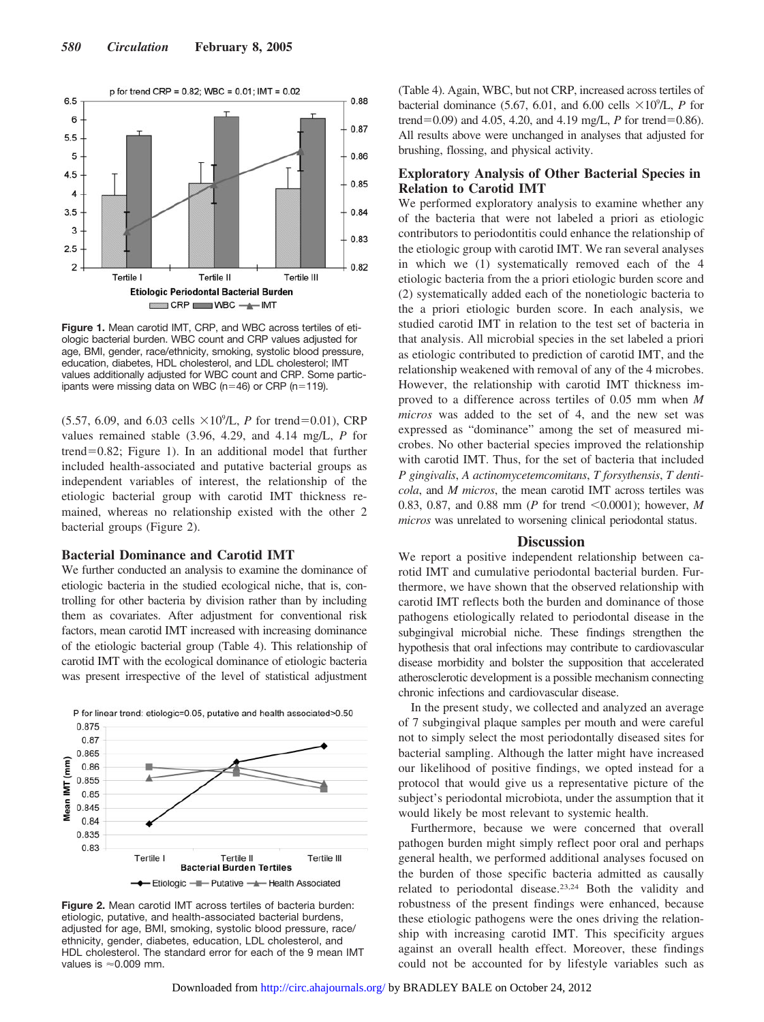

**Figure 1.** Mean carotid IMT, CRP, and WBC across tertiles of etiologic bacterial burden. WBC count and CRP values adjusted for age, BMI, gender, race/ethnicity, smoking, systolic blood pressure, education, diabetes, HDL cholesterol, and LDL cholesterol; IMT values additionally adjusted for WBC count and CRP. Some participants were missing data on WBC ( $n=46$ ) or CRP ( $n=119$ ).

 $(5.57, 6.09, \text{ and } 6.03 \text{ cells } \times 10^9/\text{L}, P \text{ for trend} = 0.01)$ , CRP values remained stable (3.96, 4.29, and 4.14 mg/L, *P* for trend-0.82; Figure 1). In an additional model that further included health-associated and putative bacterial groups as independent variables of interest, the relationship of the etiologic bacterial group with carotid IMT thickness remained, whereas no relationship existed with the other 2 bacterial groups (Figure 2).

#### **Bacterial Dominance and Carotid IMT**

We further conducted an analysis to examine the dominance of etiologic bacteria in the studied ecological niche, that is, controlling for other bacteria by division rather than by including them as covariates. After adjustment for conventional risk factors, mean carotid IMT increased with increasing dominance of the etiologic bacterial group (Table 4). This relationship of carotid IMT with the ecological dominance of etiologic bacteria was present irrespective of the level of statistical adjustment



**Figure 2.** Mean carotid IMT across tertiles of bacteria burden: etiologic, putative, and health-associated bacterial burdens, adjusted for age, BMI, smoking, systolic blood pressure, race/ ethnicity, gender, diabetes, education, LDL cholesterol, and HDL cholesterol. The standard error for each of the 9 mean IMT values is  $\approx$  0.009 mm.

(Table 4). Again, WBC, but not CRP, increased across tertiles of bacterial dominance (5.67, 6.01, and 6.00 cells  $\times 10^9$ /L, *P* for trend-0.09) and 4.05, 4.20, and 4.19 mg/L, *P* for trend-0.86). All results above were unchanged in analyses that adjusted for brushing, flossing, and physical activity.

# **Exploratory Analysis of Other Bacterial Species in Relation to Carotid IMT**

We performed exploratory analysis to examine whether any of the bacteria that were not labeled a priori as etiologic contributors to periodontitis could enhance the relationship of the etiologic group with carotid IMT. We ran several analyses in which we (1) systematically removed each of the 4 etiologic bacteria from the a priori etiologic burden score and (2) systematically added each of the nonetiologic bacteria to the a priori etiologic burden score. In each analysis, we studied carotid IMT in relation to the test set of bacteria in that analysis. All microbial species in the set labeled a priori as etiologic contributed to prediction of carotid IMT, and the relationship weakened with removal of any of the 4 microbes. However, the relationship with carotid IMT thickness improved to a difference across tertiles of 0.05 mm when *M micros* was added to the set of 4, and the new set was expressed as "dominance" among the set of measured microbes. No other bacterial species improved the relationship with carotid IMT. Thus, for the set of bacteria that included *P gingivalis*, *A actinomycetemcomitans*, *T forsythensis*, *T denticola*, and *M micros*, the mean carotid IMT across tertiles was 0.83, 0.87, and 0.88 mm (*P* for trend  $\leq 0.0001$ ); however, *M micros* was unrelated to worsening clinical periodontal status.

#### **Discussion**

We report a positive independent relationship between carotid IMT and cumulative periodontal bacterial burden. Furthermore, we have shown that the observed relationship with carotid IMT reflects both the burden and dominance of those pathogens etiologically related to periodontal disease in the subgingival microbial niche. These findings strengthen the hypothesis that oral infections may contribute to cardiovascular disease morbidity and bolster the supposition that accelerated atherosclerotic development is a possible mechanism connecting chronic infections and cardiovascular disease.

In the present study, we collected and analyzed an average of 7 subgingival plaque samples per mouth and were careful not to simply select the most periodontally diseased sites for bacterial sampling. Although the latter might have increased our likelihood of positive findings, we opted instead for a protocol that would give us a representative picture of the subject's periodontal microbiota, under the assumption that it would likely be most relevant to systemic health.

Furthermore, because we were concerned that overall pathogen burden might simply reflect poor oral and perhaps general health, we performed additional analyses focused on the burden of those specific bacteria admitted as causally related to periodontal disease.23,24 Both the validity and robustness of the present findings were enhanced, because these etiologic pathogens were the ones driving the relationship with increasing carotid IMT. This specificity argues against an overall health effect. Moreover, these findings could not be accounted for by lifestyle variables such as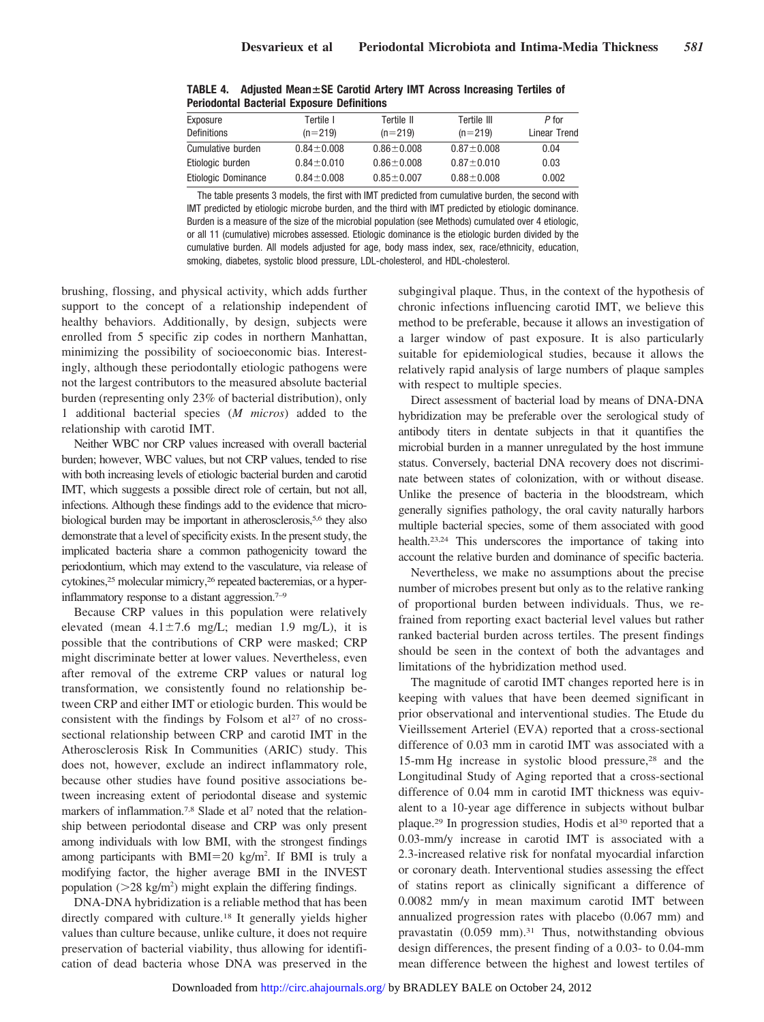| Exposure            | Tertile I        | Tertile II       | Tertile III    | P for        |
|---------------------|------------------|------------------|----------------|--------------|
| Definitions         | $(n=219)$        | $(n=219)$        | $(n=219)$      | Linear Trend |
| Cumulative burden   | $0.84 \pm 0.008$ | $0.86 \pm 0.008$ | $0.87 + 0.008$ | 0.04         |
| Etiologic burden    | $0.84 \pm 0.010$ | $0.86 \pm 0.008$ | $0.87 + 0.010$ | 0.03         |
| Etiologic Dominance | $0.84 \pm 0.008$ | $0.85 \pm 0.007$ | $0.88 + 0.008$ | 0.002        |

**TABLE 4. Adjusted MeanSE Carotid Artery IMT Across Increasing Tertiles of Periodontal Bacterial Exposure Definitions**

The table presents 3 models, the first with IMT predicted from cumulative burden, the second with IMT predicted by etiologic microbe burden, and the third with IMT predicted by etiologic dominance. Burden is a measure of the size of the microbial population (see Methods) cumulated over 4 etiologic, or all 11 (cumulative) microbes assessed. Etiologic dominance is the etiologic burden divided by the cumulative burden. All models adjusted for age, body mass index, sex, race/ethnicity, education, smoking, diabetes, systolic blood pressure, LDL-cholesterol, and HDL-cholesterol.

brushing, flossing, and physical activity, which adds further support to the concept of a relationship independent of healthy behaviors. Additionally, by design, subjects were enrolled from 5 specific zip codes in northern Manhattan, minimizing the possibility of socioeconomic bias. Interestingly, although these periodontally etiologic pathogens were not the largest contributors to the measured absolute bacterial burden (representing only 23% of bacterial distribution), only 1 additional bacterial species (*M micros*) added to the relationship with carotid IMT.

Neither WBC nor CRP values increased with overall bacterial burden; however, WBC values, but not CRP values, tended to rise with both increasing levels of etiologic bacterial burden and carotid IMT, which suggests a possible direct role of certain, but not all, infections. Although these findings add to the evidence that microbiological burden may be important in atherosclerosis,<sup>5,6</sup> they also demonstrate that a level of specificity exists. In the present study, the implicated bacteria share a common pathogenicity toward the periodontium, which may extend to the vasculature, via release of cytokines,<sup>25</sup> molecular mimicry,<sup>26</sup> repeated bacteremias, or a hyperinflammatory response to a distant aggression.7–9

Because CRP values in this population were relatively elevated (mean  $4.1 \pm 7.6$  mg/L; median 1.9 mg/L), it is possible that the contributions of CRP were masked; CRP might discriminate better at lower values. Nevertheless, even after removal of the extreme CRP values or natural log transformation, we consistently found no relationship between CRP and either IMT or etiologic burden. This would be consistent with the findings by Folsom et  $al<sup>27</sup>$  of no crosssectional relationship between CRP and carotid IMT in the Atherosclerosis Risk In Communities (ARIC) study. This does not, however, exclude an indirect inflammatory role, because other studies have found positive associations between increasing extent of periodontal disease and systemic markers of inflammation.<sup>7,8</sup> Slade et al<sup>7</sup> noted that the relationship between periodontal disease and CRP was only present among individuals with low BMI, with the strongest findings among participants with  $BMI = 20$  kg/m<sup>2</sup>. If BMI is truly a modifying factor, the higher average BMI in the INVEST population  $(>=28 \text{ kg/m}^2)$  might explain the differing findings.

DNA-DNA hybridization is a reliable method that has been directly compared with culture.18 It generally yields higher values than culture because, unlike culture, it does not require preservation of bacterial viability, thus allowing for identification of dead bacteria whose DNA was preserved in the

subgingival plaque. Thus, in the context of the hypothesis of chronic infections influencing carotid IMT, we believe this method to be preferable, because it allows an investigation of a larger window of past exposure. It is also particularly suitable for epidemiological studies, because it allows the relatively rapid analysis of large numbers of plaque samples with respect to multiple species.

Direct assessment of bacterial load by means of DNA-DNA hybridization may be preferable over the serological study of antibody titers in dentate subjects in that it quantifies the microbial burden in a manner unregulated by the host immune status. Conversely, bacterial DNA recovery does not discriminate between states of colonization, with or without disease. Unlike the presence of bacteria in the bloodstream, which generally signifies pathology, the oral cavity naturally harbors multiple bacterial species, some of them associated with good health.<sup>23,24</sup> This underscores the importance of taking into account the relative burden and dominance of specific bacteria.

Nevertheless, we make no assumptions about the precise number of microbes present but only as to the relative ranking of proportional burden between individuals. Thus, we refrained from reporting exact bacterial level values but rather ranked bacterial burden across tertiles. The present findings should be seen in the context of both the advantages and limitations of the hybridization method used.

The magnitude of carotid IMT changes reported here is in keeping with values that have been deemed significant in prior observational and interventional studies. The Etude du Vieillssement Arteriel (EVA) reported that a cross-sectional difference of 0.03 mm in carotid IMT was associated with a 15-mm Hg increase in systolic blood pressure,28 and the Longitudinal Study of Aging reported that a cross-sectional difference of 0.04 mm in carotid IMT thickness was equivalent to a 10-year age difference in subjects without bulbar plaque.<sup>29</sup> In progression studies, Hodis et al<sup>30</sup> reported that a 0.03-mm/y increase in carotid IMT is associated with a 2.3-increased relative risk for nonfatal myocardial infarction or coronary death. Interventional studies assessing the effect of statins report as clinically significant a difference of 0.0082 mm/y in mean maximum carotid IMT between annualized progression rates with placebo (0.067 mm) and pravastatin (0.059 mm).<sup>31</sup> Thus, notwithstanding obvious design differences, the present finding of a 0.03- to 0.04-mm mean difference between the highest and lowest tertiles of